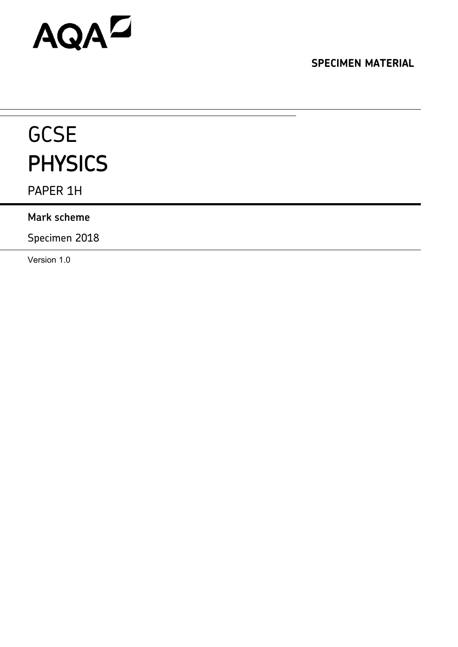# AQAD

**SPECIMEN MATERIAL**

# **GCSE** PHYSICS

PAPER 1H

# **Mark scheme**

Specimen 2018

Version 1.0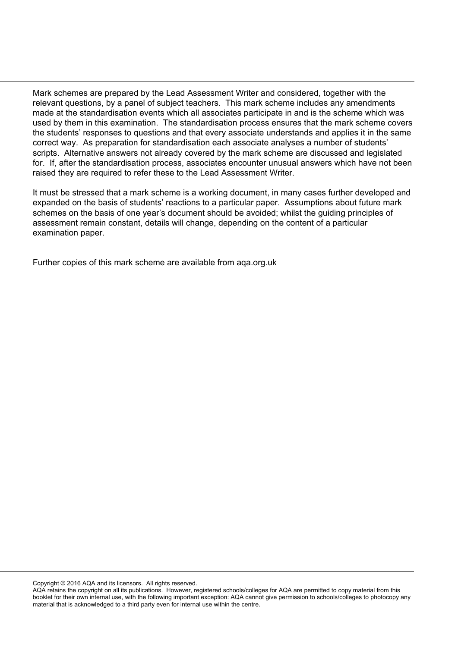Mark schemes are prepared by the Lead Assessment Writer and considered, together with the relevant questions, by a panel of subject teachers. This mark scheme includes any amendments made at the standardisation events which all associates participate in and is the scheme which was used by them in this examination. The standardisation process ensures that the mark scheme covers the students' responses to questions and that every associate understands and applies it in the same correct way. As preparation for standardisation each associate analyses a number of students' scripts. Alternative answers not already covered by the mark scheme are discussed and legislated for. If, after the standardisation process, associates encounter unusual answers which have not been raised they are required to refer these to the Lead Assessment Writer.

It must be stressed that a mark scheme is a working document, in many cases further developed and expanded on the basis of students' reactions to a particular paper. Assumptions about future mark schemes on the basis of one year's document should be avoided; whilst the guiding principles of assessment remain constant, details will change, depending on the content of a particular examination paper.

Further copies of this mark scheme are available from aqa.org.uk

Copyright © 2016 AQA and its licensors. All rights reserved.

AQA retains the copyright on all its publications. However, registered schools/colleges for AQA are permitted to copy material from this booklet for their own internal use, with the following important exception: AQA cannot give permission to schools/colleges to photocopy any material that is acknowledged to a third party even for internal use within the centre.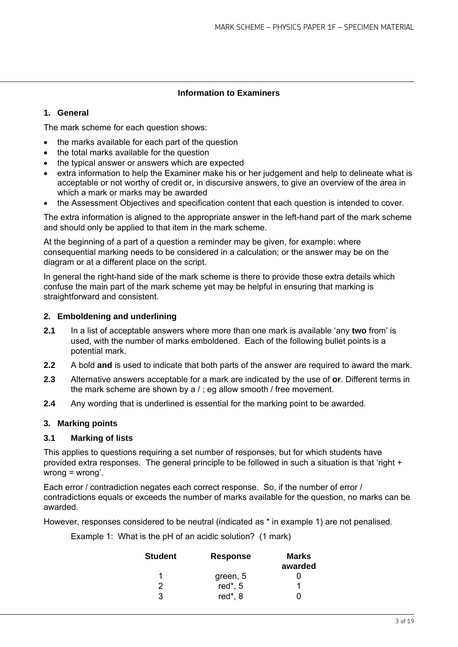# **Information to Examiners**

# **1. General**

The mark scheme for each question shows:

- the marks available for each part of the question
- the total marks available for the question
- the typical answer or answers which are expected
- extra information to help the Examiner make his or her judgement and help to delineate what is acceptable or not worthy of credit or, in discursive answers, to give an overview of the area in which a mark or marks may be awarded
- the Assessment Objectives and specification content that each question is intended to cover.

The extra information is aligned to the appropriate answer in the left-hand part of the mark scheme and should only be applied to that item in the mark scheme.

At the beginning of a part of a question a reminder may be given, for example: where consequential marking needs to be considered in a calculation; or the answer may be on the diagram or at a different place on the script.

In general the right-hand side of the mark scheme is there to provide those extra details which confuse the main part of the mark scheme yet may be helpful in ensuring that marking is straightforward and consistent.

# **2. Emboldening and underlining**

- **2.1** In a list of acceptable answers where more than one mark is available 'any **two** from' is used, with the number of marks emboldened. Each of the following bullet points is a potential mark.
- **2.2** A bold **and** is used to indicate that both parts of the answer are required to award the mark.
- **2.3** Alternative answers acceptable for a mark are indicated by the use of **or**. Different terms in the mark scheme are shown by a / ; eg allow smooth / free movement.
- **2.4** Any wording that is underlined is essential for the marking point to be awarded.

# **3. Marking points**

# **3.1 Marking of lists**

This applies to questions requiring a set number of responses, but for which students have provided extra responses. The general principle to be followed in such a situation is that 'right + wrong = wrong'.

Each error / contradiction negates each correct response. So, if the number of error / contradictions equals or exceeds the number of marks available for the question, no marks can be awarded.

However, responses considered to be neutral (indicated as \* in example 1) are not penalised.

Example 1: What is the pH of an acidic solution? (1 mark)

| <b>Student</b> | <b>Response</b> | Marks   |
|----------------|-----------------|---------|
|                |                 | awarded |
| 1              | green, 5        |         |
| 2              | red $*$ , 5     |         |
| 3              | red*, 8         |         |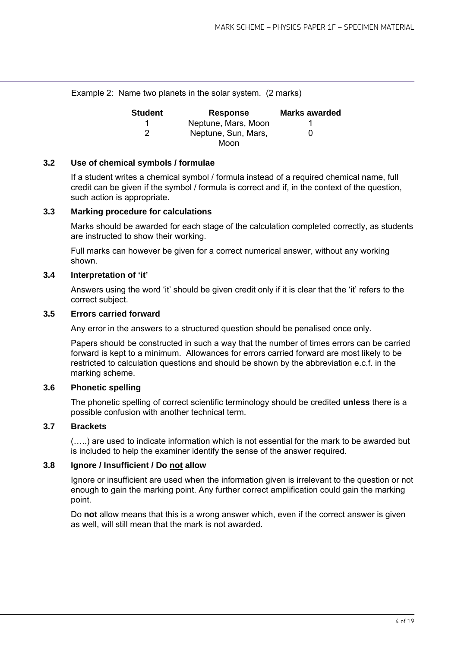Example 2: Name two planets in the solar system. (2 marks)

| <b>Student</b> | <b>Response</b>     | <b>Marks awarded</b> |
|----------------|---------------------|----------------------|
|                | Neptune, Mars, Moon |                      |
| 2              | Neptune, Sun, Mars, | O                    |
|                | Moon                |                      |

#### **3.2 Use of chemical symbols / formulae**

If a student writes a chemical symbol / formula instead of a required chemical name, full credit can be given if the symbol / formula is correct and if, in the context of the question, such action is appropriate.

# **3.3 Marking procedure for calculations**

Marks should be awarded for each stage of the calculation completed correctly, as students are instructed to show their working.

Full marks can however be given for a correct numerical answer, without any working shown.

#### **3.4 Interpretation of 'it'**

Answers using the word 'it' should be given credit only if it is clear that the 'it' refers to the correct subject.

#### **3.5 Errors carried forward**

Any error in the answers to a structured question should be penalised once only.

Papers should be constructed in such a way that the number of times errors can be carried forward is kept to a minimum. Allowances for errors carried forward are most likely to be restricted to calculation questions and should be shown by the abbreviation e.c.f. in the marking scheme.

# **3.6 Phonetic spelling**

The phonetic spelling of correct scientific terminology should be credited **unless** there is a possible confusion with another technical term.

# **3.7 Brackets**

(…..) are used to indicate information which is not essential for the mark to be awarded but is included to help the examiner identify the sense of the answer required.

# **3.8 Ignore / Insufficient / Do not allow**

Ignore or insufficient are used when the information given is irrelevant to the question or not enough to gain the marking point. Any further correct amplification could gain the marking point.

Do **not** allow means that this is a wrong answer which, even if the correct answer is given as well, will still mean that the mark is not awarded.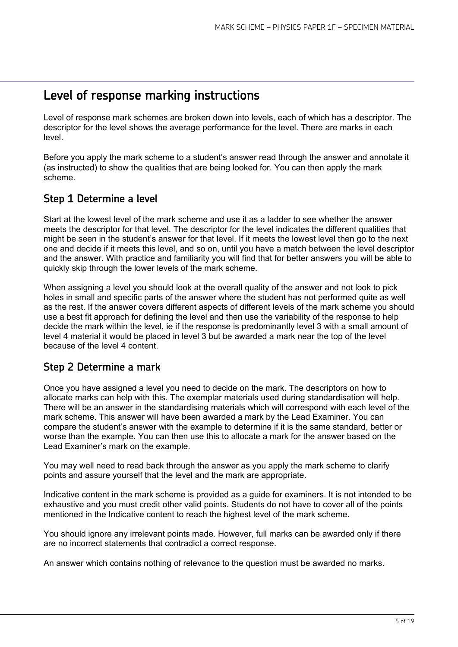# Level of response marking instructions

Level of response mark schemes are broken down into levels, each of which has a descriptor. The descriptor for the level shows the average performance for the level. There are marks in each level.

Before you apply the mark scheme to a student's answer read through the answer and annotate it (as instructed) to show the qualities that are being looked for. You can then apply the mark scheme.

# Step 1 Determine a level

Start at the lowest level of the mark scheme and use it as a ladder to see whether the answer meets the descriptor for that level. The descriptor for the level indicates the different qualities that might be seen in the student's answer for that level. If it meets the lowest level then go to the next one and decide if it meets this level, and so on, until you have a match between the level descriptor and the answer. With practice and familiarity you will find that for better answers you will be able to quickly skip through the lower levels of the mark scheme.

When assigning a level you should look at the overall quality of the answer and not look to pick holes in small and specific parts of the answer where the student has not performed quite as well as the rest. If the answer covers different aspects of different levels of the mark scheme you should use a best fit approach for defining the level and then use the variability of the response to help decide the mark within the level, ie if the response is predominantly level 3 with a small amount of level 4 material it would be placed in level 3 but be awarded a mark near the top of the level because of the level 4 content.

# Step 2 Determine a mark

Once you have assigned a level you need to decide on the mark. The descriptors on how to allocate marks can help with this. The exemplar materials used during standardisation will help. There will be an answer in the standardising materials which will correspond with each level of the mark scheme. This answer will have been awarded a mark by the Lead Examiner. You can compare the student's answer with the example to determine if it is the same standard, better or worse than the example. You can then use this to allocate a mark for the answer based on the Lead Examiner's mark on the example.

You may well need to read back through the answer as you apply the mark scheme to clarify points and assure yourself that the level and the mark are appropriate.

Indicative content in the mark scheme is provided as a guide for examiners. It is not intended to be exhaustive and you must credit other valid points. Students do not have to cover all of the points mentioned in the Indicative content to reach the highest level of the mark scheme.

You should ignore any irrelevant points made. However, full marks can be awarded only if there are no incorrect statements that contradict a correct response.

An answer which contains nothing of relevance to the question must be awarded no marks.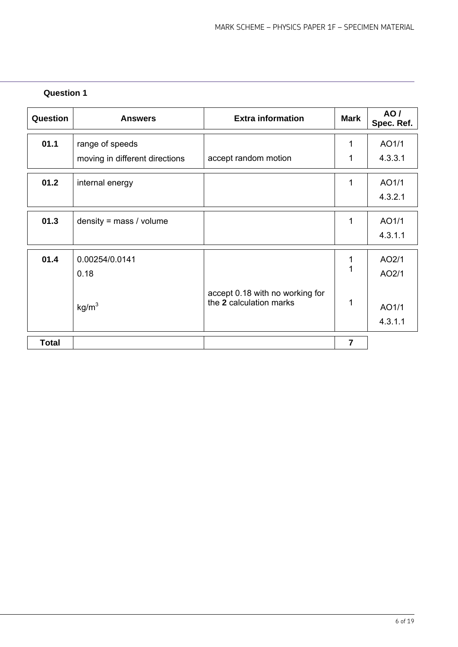| Question     | <b>Answers</b>                 | <b>Extra information</b>        | <b>Mark</b>    | <b>AO/</b><br>Spec. Ref. |
|--------------|--------------------------------|---------------------------------|----------------|--------------------------|
| 01.1         | range of speeds                |                                 | 1              | AO1/1                    |
|              | moving in different directions | accept random motion            | 1              | 4.3.3.1                  |
| 01.2         | internal energy                |                                 | 1              | AO1/1                    |
|              |                                |                                 |                | 4.3.2.1                  |
| 01.3         | density = $mass / volume$      |                                 | 1              | AO1/1                    |
|              |                                |                                 |                | 4.3.1.1                  |
| 01.4         | 0.00254/0.0141                 |                                 | 1              | AO2/1                    |
|              | 0.18                           |                                 | $\overline{1}$ | AO2/1                    |
|              |                                | accept 0.18 with no working for |                |                          |
|              | kg/m <sup>3</sup>              | the 2 calculation marks         | 1              | AO1/1                    |
|              |                                |                                 |                | 4.3.1.1                  |
| <b>Total</b> |                                |                                 | $\overline{7}$ |                          |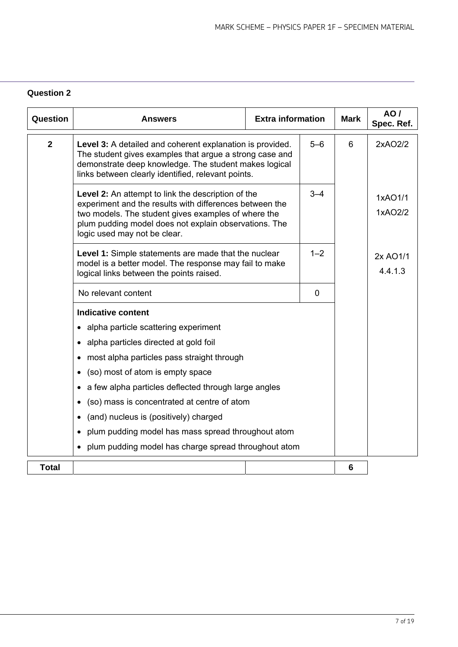| Question       | <b>Answers</b>                                                                                                                                                                                                                                                | <b>Extra information</b> |         | <b>Mark</b> | AO/<br>Spec. Ref.   |
|----------------|---------------------------------------------------------------------------------------------------------------------------------------------------------------------------------------------------------------------------------------------------------------|--------------------------|---------|-------------|---------------------|
| $\overline{2}$ | Level 3: A detailed and coherent explanation is provided.<br>The student gives examples that argue a strong case and<br>demonstrate deep knowledge. The student makes logical<br>links between clearly identified, relevant points.                           |                          | $5-6$   | 6           | 2xAO2/2             |
|                | Level 2: An attempt to link the description of the<br>experiment and the results with differences between the<br>two models. The student gives examples of where the<br>plum pudding model does not explain observations. The<br>logic used may not be clear. |                          | $3 - 4$ |             | 1xAO1/1<br>1xAO2/2  |
|                | Level 1: Simple statements are made that the nuclear<br>model is a better model. The response may fail to make<br>logical links between the points raised.                                                                                                    |                          | $1 - 2$ |             | 2x AO1/1<br>4.4.1.3 |
|                | No relevant content                                                                                                                                                                                                                                           |                          |         |             |                     |
|                | <b>Indicative content</b>                                                                                                                                                                                                                                     |                          |         |             |                     |
|                | • alpha particle scattering experiment                                                                                                                                                                                                                        |                          |         |             |                     |
|                | • alpha particles directed at gold foil                                                                                                                                                                                                                       |                          |         |             |                     |
|                | most alpha particles pass straight through                                                                                                                                                                                                                    |                          |         |             |                     |
|                | (so) most of atom is empty space                                                                                                                                                                                                                              |                          |         |             |                     |
|                | a few alpha particles deflected through large angles                                                                                                                                                                                                          |                          |         |             |                     |
|                | (so) mass is concentrated at centre of atom                                                                                                                                                                                                                   |                          |         |             |                     |
|                | (and) nucleus is (positively) charged                                                                                                                                                                                                                         |                          |         |             |                     |
|                | • plum pudding model has mass spread throughout atom                                                                                                                                                                                                          |                          |         |             |                     |
|                | • plum pudding model has charge spread throughout atom                                                                                                                                                                                                        |                          |         |             |                     |
| <b>Total</b>   |                                                                                                                                                                                                                                                               |                          |         | 6           |                     |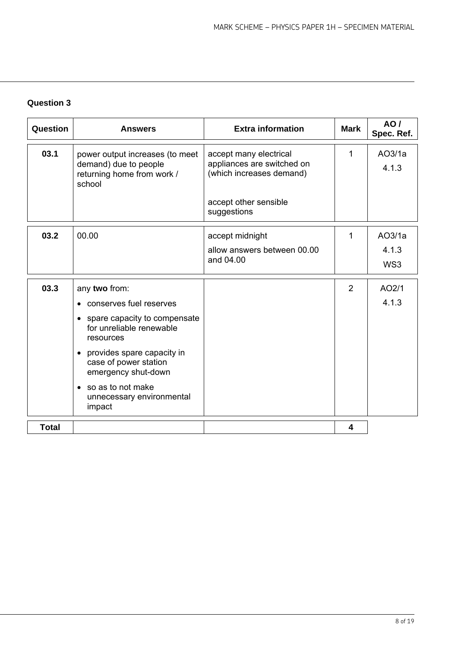| Question     | <b>Answers</b>                                                                                                                                                                                                                                                                          | <b>Extra information</b>                                                                                                 | <b>Mark</b>    | AO/<br>Spec. Ref.      |
|--------------|-----------------------------------------------------------------------------------------------------------------------------------------------------------------------------------------------------------------------------------------------------------------------------------------|--------------------------------------------------------------------------------------------------------------------------|----------------|------------------------|
| 03.1         | power output increases (to meet<br>demand) due to people<br>returning home from work /<br>school                                                                                                                                                                                        | accept many electrical<br>appliances are switched on<br>(which increases demand)<br>accept other sensible<br>suggestions | 1              | AO3/1a<br>4.1.3        |
| 03.2         | 00.00                                                                                                                                                                                                                                                                                   | accept midnight<br>allow answers between 00.00<br>and 04.00                                                              | 1              | AO3/1a<br>4.1.3<br>WS3 |
| 03.3         | any two from:<br>conserves fuel reserves<br>spare capacity to compensate<br>$\bullet$<br>for unreliable renewable<br>resources<br>provides spare capacity in<br>$\bullet$<br>case of power station<br>emergency shut-down<br>• so as to not make<br>unnecessary environmental<br>impact |                                                                                                                          | $\overline{2}$ | AO2/1<br>4.1.3         |
| <b>Total</b> |                                                                                                                                                                                                                                                                                         |                                                                                                                          | 4              |                        |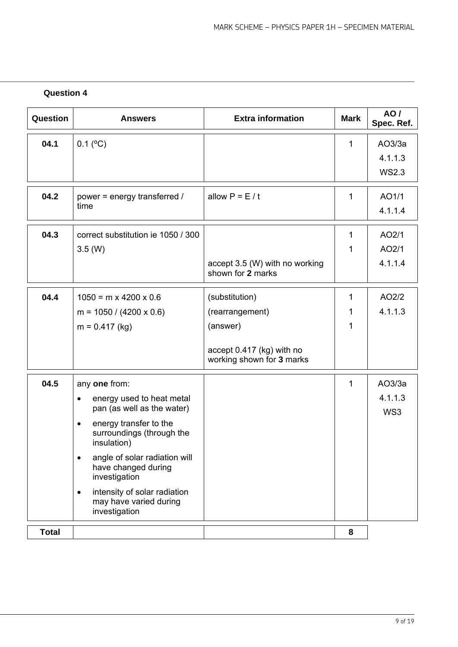| Question     | <b>Answers</b>                                                                       | <b>Extra information</b>                               | <b>Mark</b>  | AO/<br>Spec. Ref. |
|--------------|--------------------------------------------------------------------------------------|--------------------------------------------------------|--------------|-------------------|
| 04.1         | $0.1$ ( $^{\circ}$ C)                                                                |                                                        | 1            | AO3/3a            |
|              |                                                                                      |                                                        |              | 4.1.1.3           |
|              |                                                                                      |                                                        |              | <b>WS2.3</b>      |
| 04.2         | power = energy transferred /                                                         | allow $P = E / t$                                      | 1            | AO1/1             |
|              | time                                                                                 |                                                        |              | 4.1.1.4           |
| 04.3         | correct substitution ie 1050 / 300                                                   |                                                        | 1            | AO2/1             |
|              | $3.5 \, (W)$                                                                         |                                                        | 1            | AO2/1             |
|              |                                                                                      | accept 3.5 (W) with no working<br>shown for 2 marks    |              | 4.1.1.4           |
| 04.4         | $1050 = m \times 4200 \times 0.6$                                                    | (substitution)                                         | $\mathbf{1}$ | AO2/2             |
|              | $m = 1050 / (4200 \times 0.6)$                                                       | (rearrangement)                                        |              | 4.1.1.3           |
|              | $m = 0.417$ (kg)                                                                     | (answer)                                               | 1            |                   |
|              |                                                                                      | accept 0.417 (kg) with no<br>working shown for 3 marks |              |                   |
| 04.5         | any one from:                                                                        |                                                        | 1            | AO3/3a            |
|              | energy used to heat metal<br>$\bullet$<br>pan (as well as the water)                 |                                                        |              | 4.1.1.3<br>WS3    |
|              | energy transfer to the<br>$\bullet$<br>surroundings (through the<br>insulation)      |                                                        |              |                   |
|              | angle of solar radiation will<br>$\bullet$<br>have changed during<br>investigation   |                                                        |              |                   |
|              | intensity of solar radiation<br>$\bullet$<br>may have varied during<br>investigation |                                                        |              |                   |
| <b>Total</b> |                                                                                      |                                                        | 8            |                   |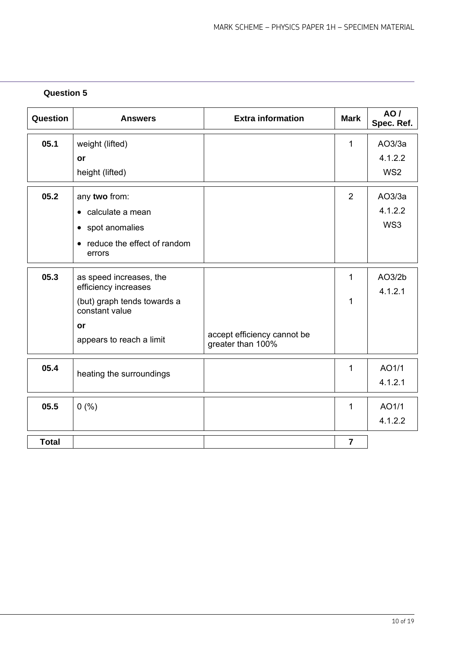| Question     | <b>Answers</b>                                  | <b>Extra information</b>                         | <b>Mark</b>    | AO/<br>Spec. Ref. |
|--------------|-------------------------------------------------|--------------------------------------------------|----------------|-------------------|
| 05.1         | weight (lifted)                                 |                                                  | $\mathbf{1}$   | AO3/3a            |
|              | or                                              |                                                  |                | 4.1.2.2           |
|              | height (lifted)                                 |                                                  |                | WS <sub>2</sub>   |
| 05.2         | any two from:                                   |                                                  | $\overline{2}$ | AO3/3a            |
|              | • calculate a mean                              |                                                  |                | 4.1.2.2           |
|              | • spot anomalies                                |                                                  |                | WS3               |
|              | • reduce the effect of random<br>errors         |                                                  |                |                   |
| 05.3         | as speed increases, the<br>efficiency increases |                                                  | 1              | AO3/2b<br>4.1.2.1 |
|              | (but) graph tends towards a<br>constant value   |                                                  | 1              |                   |
|              | or<br>appears to reach a limit                  | accept efficiency cannot be<br>greater than 100% |                |                   |
|              |                                                 |                                                  |                |                   |
| 05.4         | heating the surroundings                        |                                                  | 1              | AO1/1             |
|              |                                                 |                                                  |                | 4.1.2.1           |
| 05.5         | 0(%)                                            |                                                  | 1              | AO1/1             |
|              |                                                 |                                                  |                | 4.1.2.2           |
| <b>Total</b> |                                                 |                                                  | $\overline{7}$ |                   |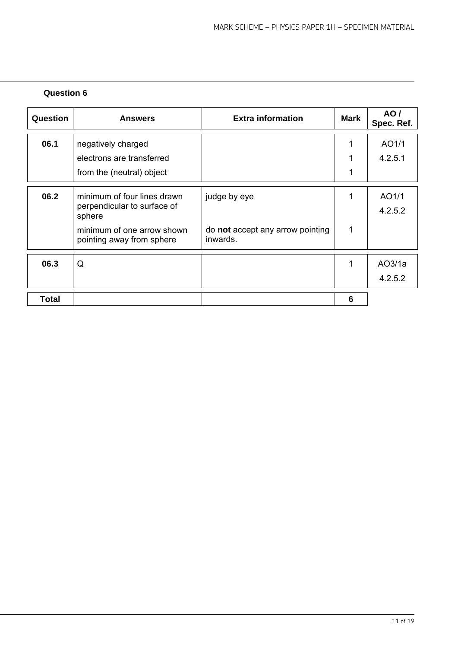| Question | <b>Answers</b>                                                       | <b>Extra information</b>                     | <b>Mark</b> | AO/<br>Spec. Ref. |
|----------|----------------------------------------------------------------------|----------------------------------------------|-------------|-------------------|
| 06.1     | negatively charged                                                   |                                              | 1           | AO1/1             |
|          | electrons are transferred                                            |                                              |             | 4.2.5.1           |
|          | from the (neutral) object                                            |                                              |             |                   |
| 06.2     | minimum of four lines drawn<br>perpendicular to surface of<br>sphere | judge by eye                                 | 1           | AO1/1<br>4.2.5.2  |
|          | minimum of one arrow shown<br>pointing away from sphere              | do not accept any arrow pointing<br>inwards. | 1           |                   |
| 06.3     | Q                                                                    |                                              | 1           | AO3/1a            |
|          |                                                                      |                                              |             | 4.2.5.2           |
| Total    |                                                                      |                                              | 6           |                   |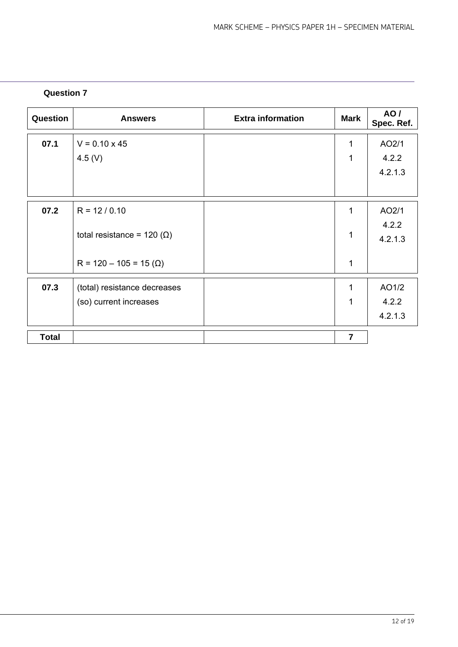| Question     | <b>Answers</b>                    | <b>Extra information</b> | <b>Mark</b>    | <b>AO</b> /<br>Spec. Ref. |
|--------------|-----------------------------------|--------------------------|----------------|---------------------------|
| 07.1         | $V = 0.10 \times 45$              |                          | 1              | AO2/1                     |
|              | 4.5 (V)                           |                          | 1              | 4.2.2                     |
|              |                                   |                          |                | 4.2.1.3                   |
|              |                                   |                          |                |                           |
| 07.2         | $R = 12 / 0.10$                   |                          | 1              | AO2/1                     |
|              |                                   |                          |                | 4.2.2                     |
|              | total resistance = $120 (\Omega)$ |                          | 1              | 4.2.1.3                   |
|              | $R = 120 - 105 = 15 (\Omega)$     |                          | 1              |                           |
|              |                                   |                          |                |                           |
| 07.3         | (total) resistance decreases      |                          | 1              | AO1/2                     |
|              | (so) current increases            |                          | 1              | 4.2.2                     |
|              |                                   |                          |                | 4.2.1.3                   |
| <b>Total</b> |                                   |                          | $\overline{7}$ |                           |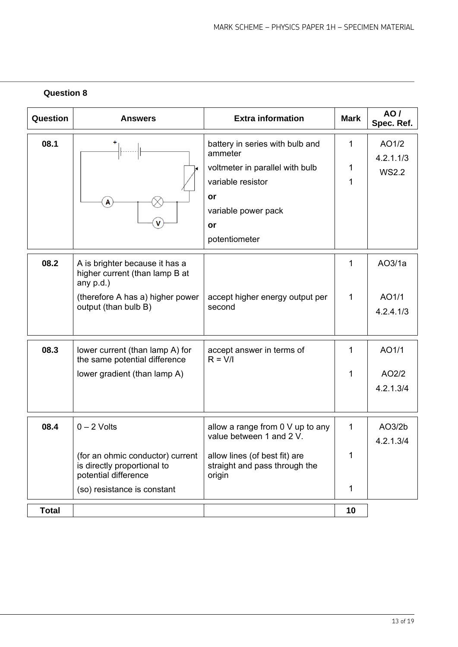| Question     | <b>Answers</b>                                                                          | <b>Extra information</b>                                                 | <b>Mark</b>  | AO/<br>Spec. Ref.  |
|--------------|-----------------------------------------------------------------------------------------|--------------------------------------------------------------------------|--------------|--------------------|
| 08.1         |                                                                                         | battery in series with bulb and<br>ammeter                               | 1            | AO1/2<br>4.2.1.1/3 |
|              |                                                                                         | voltmeter in parallel with bulb                                          | 1            | <b>WS2.2</b>       |
|              |                                                                                         | variable resistor                                                        | 1            |                    |
|              | A                                                                                       | or                                                                       |              |                    |
|              |                                                                                         | variable power pack                                                      |              |                    |
|              |                                                                                         | or                                                                       |              |                    |
|              |                                                                                         | potentiometer                                                            |              |                    |
| 08.2         | A is brighter because it has a<br>higher current (than lamp B at<br>any $p.d.$ )        |                                                                          | 1            | AO3/1a             |
|              | (therefore A has a) higher power                                                        | accept higher energy output per                                          | $\mathbf{1}$ | AO1/1              |
|              | output (than bulb B)                                                                    | second                                                                   |              | 4.2.4.1/3          |
|              |                                                                                         |                                                                          |              |                    |
| 08.3         | lower current (than lamp A) for<br>the same potential difference                        | accept answer in terms of<br>$R = V/I$                                   | 1            | AO1/1              |
|              | lower gradient (than lamp A)                                                            |                                                                          | 1            | AO2/2              |
|              |                                                                                         |                                                                          |              | 4.2.1.3/4          |
|              |                                                                                         |                                                                          |              |                    |
| 08.4         | $0 - 2$ Volts                                                                           | allow a range from 0 V up to any                                         | 1            | AO3/2b             |
|              |                                                                                         | value between 1 and 2 V.                                                 |              | 4.2.1.3/4          |
|              | (for an ohmic conductor) current<br>is directly proportional to<br>potential difference | allow lines (of best fit) are<br>straight and pass through the<br>origin | 1            |                    |
|              | (so) resistance is constant                                                             |                                                                          | 1            |                    |
| <b>Total</b> |                                                                                         |                                                                          | 10           |                    |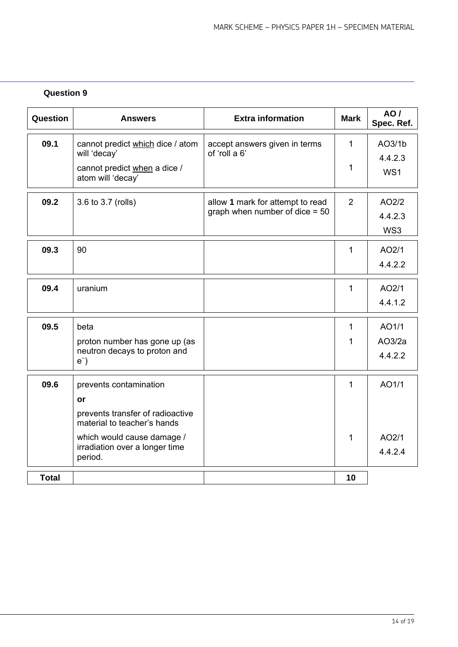| Question     | <b>Answers</b>                                                  | <b>Extra information</b>         | <b>Mark</b>  | <b>AO/</b><br>Spec. Ref. |
|--------------|-----------------------------------------------------------------|----------------------------------|--------------|--------------------------|
| 09.1         | cannot predict which dice / atom                                | accept answers given in terms    | $\mathbf{1}$ | AO3/1b                   |
|              | will 'decay'                                                    | of 'roll a 6'                    |              | 4.4.2.3                  |
|              | cannot predict when a dice /<br>atom will 'decay'               |                                  | 1            | WS1                      |
| 09.2         | 3.6 to 3.7 (rolls)                                              | allow 1 mark for attempt to read | 2            | AO2/2                    |
|              |                                                                 | graph when number of dice $= 50$ |              | 4.4.2.3                  |
|              |                                                                 |                                  |              | WS3                      |
| 09.3         | 90                                                              |                                  | 1            | AO2/1                    |
|              |                                                                 |                                  |              | 4.4.2.2                  |
| 09.4         | uranium                                                         |                                  | $\mathbf{1}$ | AO2/1                    |
|              |                                                                 |                                  |              | 4.4.1.2                  |
| 09.5         | beta                                                            |                                  | $\mathbf{1}$ | AO1/1                    |
|              | proton number has gone up (as                                   |                                  | 1            | AO3/2a                   |
|              | neutron decays to proton and<br>$e^-$                           |                                  |              | 4.4.2.2                  |
| 09.6         | prevents contamination                                          |                                  | $\mathbf{1}$ | AO1/1                    |
|              | or                                                              |                                  |              |                          |
|              | prevents transfer of radioactive<br>material to teacher's hands |                                  |              |                          |
|              | which would cause damage /                                      |                                  | $\mathbf 1$  | AO2/1                    |
|              | irradiation over a longer time<br>period.                       |                                  |              | 4.4.2.4                  |
| <b>Total</b> |                                                                 |                                  | 10           |                          |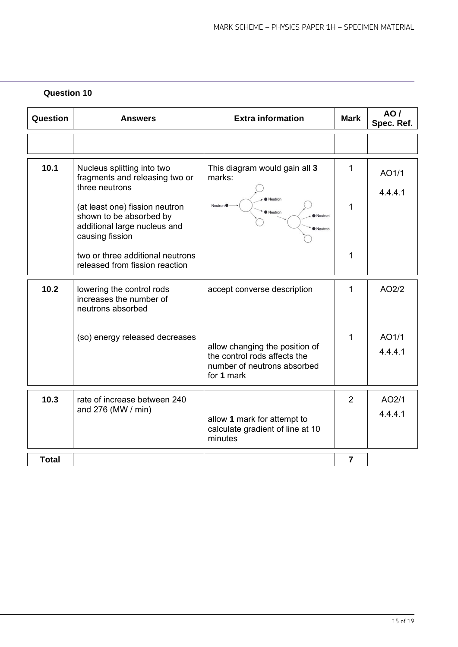| Question     | <b>Answers</b>                                                                                               | <b>Extra information</b>                                                                                    | <b>Mark</b>    | <b>AO/</b><br>Spec. Ref. |
|--------------|--------------------------------------------------------------------------------------------------------------|-------------------------------------------------------------------------------------------------------------|----------------|--------------------------|
|              |                                                                                                              |                                                                                                             |                |                          |
| 10.1         | Nucleus splitting into two<br>fragments and releasing two or                                                 | This diagram would gain all 3<br>marks:                                                                     | 1              | AO1/1                    |
|              | three neutrons                                                                                               | Neutron<br>Neutron <sup>®</sup><br>Neutron<br>Neutron<br>Neutron                                            |                | 4.4.4.1                  |
|              | (at least one) fission neutron<br>shown to be absorbed by<br>additional large nucleus and<br>causing fission |                                                                                                             | 1              |                          |
|              | two or three additional neutrons<br>released from fission reaction                                           |                                                                                                             | 1              |                          |
| 10.2         | lowering the control rods<br>increases the number of<br>neutrons absorbed                                    | accept converse description                                                                                 | 1              | AO2/2                    |
|              | (so) energy released decreases                                                                               |                                                                                                             | $\mathbf{1}$   | AO1/1                    |
|              |                                                                                                              | allow changing the position of<br>the control rods affects the<br>number of neutrons absorbed<br>for 1 mark |                | 4.4.4.1                  |
| 10.3         | rate of increase between 240                                                                                 |                                                                                                             | $\overline{2}$ | AO2/1                    |
|              | and 276 (MW / min)                                                                                           | allow 1 mark for attempt to<br>calculate gradient of line at 10<br>minutes                                  |                | 4.4.4.1                  |
| <b>Total</b> |                                                                                                              |                                                                                                             | $\overline{7}$ |                          |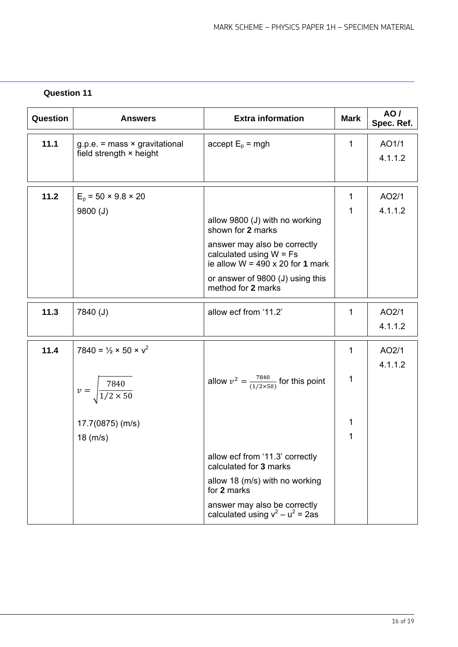| Question | <b>Answers</b>                                    | <b>Extra information</b>                                                                             | <b>Mark</b>  | AO/<br>Spec. Ref. |
|----------|---------------------------------------------------|------------------------------------------------------------------------------------------------------|--------------|-------------------|
| 11.1     | $g.p.e. = mass \times gravitational$              | $accept Ep = mgh$                                                                                    | $\mathbf{1}$ | AO1/1             |
|          | field strength × height                           |                                                                                                      |              | 4.1.1.2           |
|          |                                                   |                                                                                                      |              |                   |
| 11.2     | $E_p = 50 \times 9.8 \times 20$                   |                                                                                                      | 1            | AO2/1             |
|          | 9800 (J)                                          |                                                                                                      | 1            | 4.1.1.2           |
|          |                                                   | allow 9800 (J) with no working<br>shown for 2 marks                                                  |              |                   |
|          |                                                   | answer may also be correctly<br>calculated using $W = Fs$<br>ie allow $W = 490 \times 20$ for 1 mark |              |                   |
|          |                                                   | or answer of 9800 (J) using this<br>method for 2 marks                                               |              |                   |
| 11.3     | 7840 (J)                                          | allow ecf from '11.2'                                                                                | 1            | AO2/1             |
|          |                                                   |                                                                                                      |              | 4.1.1.2           |
| 11.4     | $7840 = \frac{1}{2} \times 50 \times \frac{1}{2}$ |                                                                                                      | 1            | AO2/1             |
|          |                                                   |                                                                                                      |              | 4.1.1.2           |
|          | $v = \sqrt{\frac{7840}{1/2 \times 50}}$           | allow $v^2 = \frac{7840}{(1/2 \times 50)}$ for this point                                            | 1            |                   |
|          | 17.7(0875) (m/s)                                  |                                                                                                      | 1            |                   |
|          | $18$ (m/s)                                        |                                                                                                      | 1            |                   |
|          |                                                   | allow ecf from '11.3' correctly<br>calculated for 3 marks                                            |              |                   |
|          |                                                   | allow 18 (m/s) with no working<br>for 2 marks                                                        |              |                   |
|          |                                                   | answer may also be correctly<br>calculated using $v^2 - u^2 = 2$ as                                  |              |                   |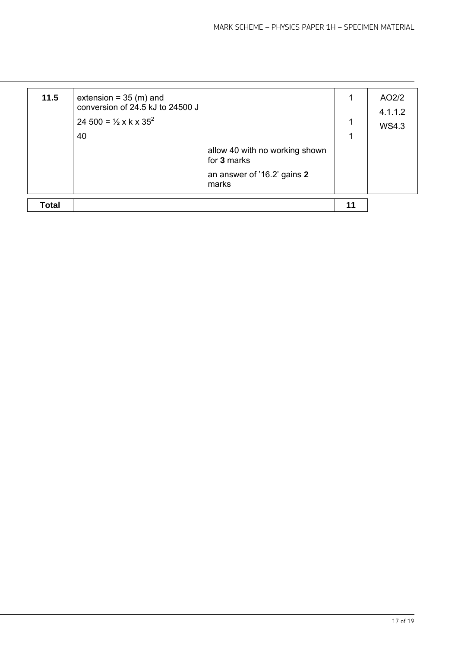| 11.5  | extension = $35 \,$ (m) and<br>conversion of 24.5 kJ to 24500 J<br>24 500 = $\frac{1}{2}$ x k x 35 <sup>2</sup><br>40 | allow 40 with no working shown<br>for 3 marks<br>an answer of '16.2' gains 2<br>marks | 1<br>1<br>1 | AO2/2<br>4.1.1.2<br><b>WS4.3</b> |
|-------|-----------------------------------------------------------------------------------------------------------------------|---------------------------------------------------------------------------------------|-------------|----------------------------------|
| Total |                                                                                                                       |                                                                                       | 11          |                                  |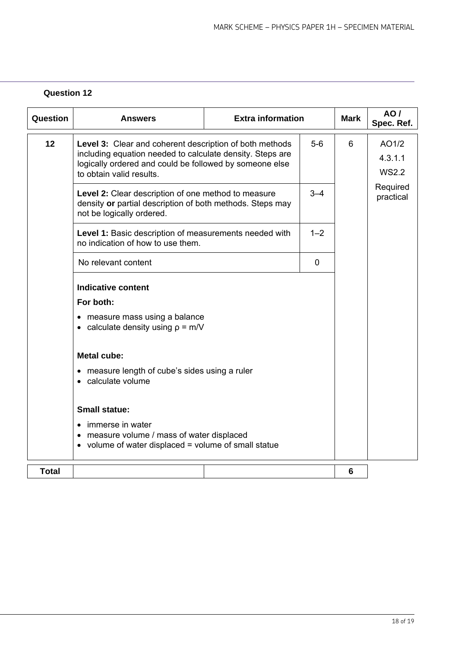| Question     | <b>Answers</b>                                                                                                                                                                                              | <b>Extra information</b> |         | <b>Mark</b> | <b>AO/</b><br>Spec. Ref.         |
|--------------|-------------------------------------------------------------------------------------------------------------------------------------------------------------------------------------------------------------|--------------------------|---------|-------------|----------------------------------|
| 12           | Level 3: Clear and coherent description of both methods<br>including equation needed to calculate density. Steps are<br>logically ordered and could be followed by someone else<br>to obtain valid results. |                          |         | 6           | AO1/2<br>4.3.1.1<br><b>WS2.2</b> |
|              | Level 2: Clear description of one method to measure<br>density or partial description of both methods. Steps may<br>not be logically ordered.                                                               |                          | $3 - 4$ |             | Required<br>practical            |
|              | Level 1: Basic description of measurements needed with<br>no indication of how to use them.                                                                                                                 |                          | $1 - 2$ |             |                                  |
|              | No relevant content                                                                                                                                                                                         |                          | 0       |             |                                  |
|              | <b>Indicative content</b>                                                                                                                                                                                   |                          |         |             |                                  |
|              | For both:                                                                                                                                                                                                   |                          |         |             |                                  |
|              | • measure mass using a balance<br>• calculate density using $p = m/V$                                                                                                                                       |                          |         |             |                                  |
|              | <b>Metal cube:</b>                                                                                                                                                                                          |                          |         |             |                                  |
|              | • measure length of cube's sides using a ruler<br>• calculate volume                                                                                                                                        |                          |         |             |                                  |
|              | <b>Small statue:</b>                                                                                                                                                                                        |                          |         |             |                                  |
|              | • immerse in water<br>• measure volume / mass of water displaced<br>• volume of water displaced = volume of small statue                                                                                    |                          |         |             |                                  |
| <b>Total</b> |                                                                                                                                                                                                             |                          |         | 6           |                                  |